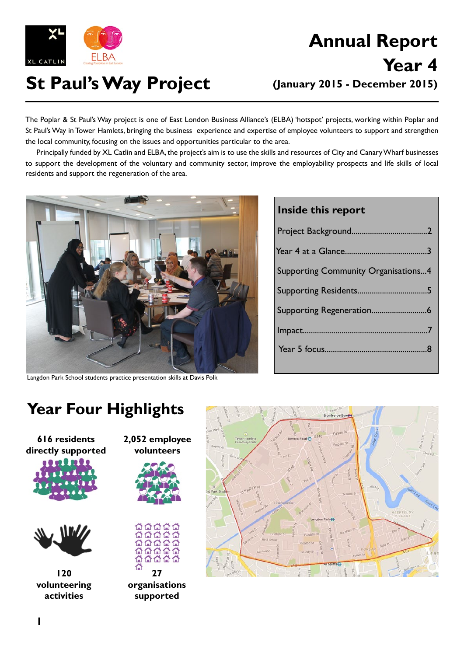

# **St Paul's Way Project (January 2015 - December 2015)**

# **Annual Report Year 4**

The Poplar & St Paul's Way project is one of East London Business Alliance's (ELBA) 'hotspot' projects, working within Poplar and St Paul's Way in Tower Hamlets, bringing the business experience and expertise of employee volunteers to support and strengthen the local community, focusing on the issues and opportunities particular to the area.

Principally funded by XL Catlin and ELBA, the project's aim is to use the skills and resources of City and Canary Wharf businesses to support the development of the voluntary and community sector, improve the employability prospects and life skills of local residents and support the regeneration of the area.



Langdon Park School students practice presentation skills at Davis Polk

### **Inside this report**

| <b>Supporting Community Organisations4</b> |
|--------------------------------------------|
|                                            |
|                                            |
|                                            |
|                                            |
|                                            |

### **Year Four Highlights**

**616 residents directly supported**





**120 volunteering activities**





**organisations supported**

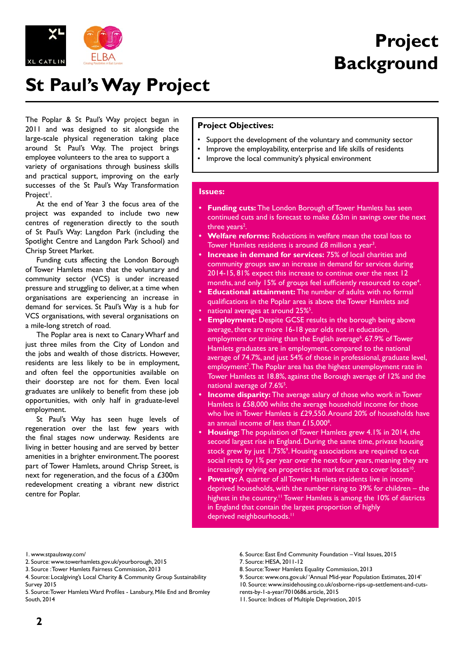

# **Project Background**

## **St Paul's Way Project**

The Poplar & St Paul's Way project began in 2011 and was designed to sit alongside the large-scale physical regeneration taking place around St Paul's Way. The project brings employee volunteers to the area to support a variety of organisations through business skills and practical support, improving on the early successes of the St Paul's Way Transformation Project<sup>i</sup>.

At the end of Year 3 the focus area of the project was expanded to include two new centres of regeneration directly to the south of St Paul's Way: Langdon Park (including the Spotlight Centre and Langdon Park School) and Chrisp Street Market.

Funding cuts affecting the London Borough of Tower Hamlets mean that the voluntary and community sector (VCS) is under increased pressure and struggling to deliver, at a time when organisations are experiencing an increase in demand for services. St Paul's Way is a hub for VCS organisations, with several organisations on a mile-long stretch of road.

The Poplar area is next to Canary Wharf and just three miles from the City of London and the jobs and wealth of those districts. However, residents are less likely to be in employment, and often feel the opportunities available on their doorstep are not for them. Even local graduates are unlikely to benefit from these job opportunities, with only half in graduate-level employment.

St Paul's Way has seen huge levels of regeneration over the last few years with the final stages now underway. Residents are living in better housing and are served by better amenities in a brighter environment. The poorest part of Tower Hamlets, around Chrisp Street, is next for regeneration, and the focus of a £300m redevelopment creating a vibrant new district centre for Poplar.

#### **Project Objectives:**

- Support the development of the voluntary and community sector
- Improve the employability, enterprise and life skills of residents
	- Improve the local community's physical environment

#### **Issues:**

- **Funding cuts:** The London Borough of Tower Hamlets has seen continued cuts and is forecast to make £63m in savings over the next three years<sup>2</sup>.
- **Welfare reforms:** Reductions in welfare mean the total loss to Tower Hamlets residents is around  $£8$  million a year<sup>3</sup>.
- **Increase in demand for services: 75% of local charities and** community groups saw an increase in demand for services during 2014-15, 81% expect this increase to continue over the next 12 months, and only 15% of groups feel sufficiently resourced to cope<sup>4</sup>.
- **Educational attainment:** The number of adults with no formal qualifications in the Poplar area is above the Tower Hamlets and
- national averages at around 25%<sup>5</sup>.
- **Employment:** Despite GCSE results in the borough being above average, there are more 16-18 year olds not in education, employment or training than the English average<sup>6</sup>. 67.9% of Tower Hamlets graduates are in employment, compared to the national average of 74.7%, and just 54% of those in professional, graduate level, employment<sup>7</sup>. The Poplar area has the highest unemployment rate in Tower Hamlets at 18.8%, against the Borough average of 12% and the national average of 7.6%<sup>5</sup>.
- **Income disparity:** The average salary of those who work in Tower Hamlets is £58,000 whilst the average household income for those who live in Tower Hamlets is £29,550. Around 20% of households have an annual income of less than  $£15,000^\circ$ .
- **Housing:** The population of Tower Hamlets grew 4.1% in 2014, the second largest rise in England. During the same time, private housing stock grew by just 1.75%<sup>9</sup>. Housing associations are required to cut social rents by 1% per year over the next four years, meaning they are increasingly relying on properties at market rate to cover losses<sup>10</sup>.
- **Poverty:** A quarter of all Tower Hamlets residents live in income deprived households, with the number rising to 39% for children – the highest in the country.<sup>11</sup> Tower Hamlets is among the 10% of districts in England that contain the largest proportion of highly deprived neighbourhoods.<sup>11</sup>

- 2. Source: www.towerhamlets.gov.uk/yourborough, 2015
- 3. Source : Tower Hamlets Fairness Commission, 2013
- 4. Source: Localgiving's Local Charity & Community Group Sustainability Survey 2015
- 5. Source: Tower Hamlets Ward Profiles Lansbury, Mile End and Bromley South, 2014
- 6. Source: East End Community Foundation Vital Issues, 2015
- 7. Source: HESA, 2011-12
- 8. Source: Tower Hamlets Equality Commission, 2013
- 9. Source: www.ons.gov.uk/ 'Annual Mid-year Population Estimates, 2014'
- 10. Source: www.insidehousing.co.uk/osborne-rips-up-settlement-and-cuts-
- rents-by-1-a-year/7010686.article, 2015

<sup>1.</sup> www.stpaulsway.com/

<sup>11.</sup> Source: Indices of Multiple Deprivation, 2015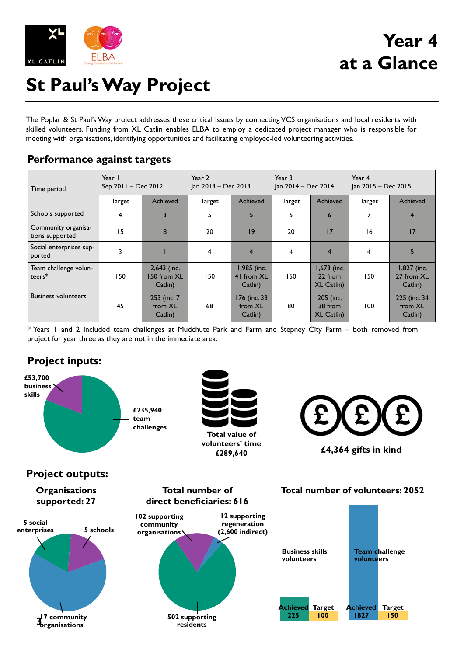

## **Year 4 at a Glance**

# **St Paul's Way Project**

The Poplar & St Paul's Way project addresses these critical issues by connecting VCS organisations and local residents with skilled volunteers. Funding from XL Catlin enables ELBA to employ a dedicated project manager who is responsible for meeting with organisations, identifying opportunities and facilitating employee-led volunteering activities.

### **Performance against targets**

| Time period                            | Year I<br>Sep 2011 - Dec 2012 |                                         | Year 2<br>Jan 2013 - Dec 2013 |                                      | Year 3<br>Jan 2014 - Dec 2014 |                                           | Year 4<br>Jan 2015 - Dec 2015 |                                      |
|----------------------------------------|-------------------------------|-----------------------------------------|-------------------------------|--------------------------------------|-------------------------------|-------------------------------------------|-------------------------------|--------------------------------------|
|                                        | Target                        | Achieved                                | Target                        | <b>Achieved</b>                      | Target                        | Achieved                                  | Target                        | Achieved                             |
| Schools supported                      | 4                             | 3                                       | 5                             | 5                                    | 5                             | 6                                         | 7                             | $\overline{4}$                       |
| Community organisa-<br>tions supported | 15                            | 8                                       | 20                            | 9                                    | 20                            | 17                                        | 16                            | 17                                   |
| Social enterprises sup-<br>ported      | 3                             |                                         | 4                             | $\overline{4}$                       | 4                             | $\overline{4}$                            | 4                             | $\overline{\mathbf{5}}$              |
| Team challenge volun-<br>teers $*$     | 50 ا                          | $2,643$ (inc.<br>150 from XL<br>Catlin) | 150                           | 1,985 (inc.<br>41 from XL<br>Catlin) | 150                           | $1,673$ (inc.<br>22 from<br>$XL$ Catlin)  | 150                           | 1,827 (inc.<br>27 from XL<br>Catlin) |
| <b>Business volunteers</b>             | 45                            | 253 (inc. 7)<br>from XL<br>Catlin)      | 68                            | 176 (inc. 33<br>from XL<br>Catlin)   | 80                            | 205 (inc.<br>38 from<br><b>XL Catlin)</b> | 100                           | 225 (inc. 34)<br>from XL<br>Catlin)  |

\* Years 1 and 2 included team challenges at Mudchute Park and Farm and Stepney City Farm – both removed from project for year three as they are not in the immediate area.

### **Project inputs:**

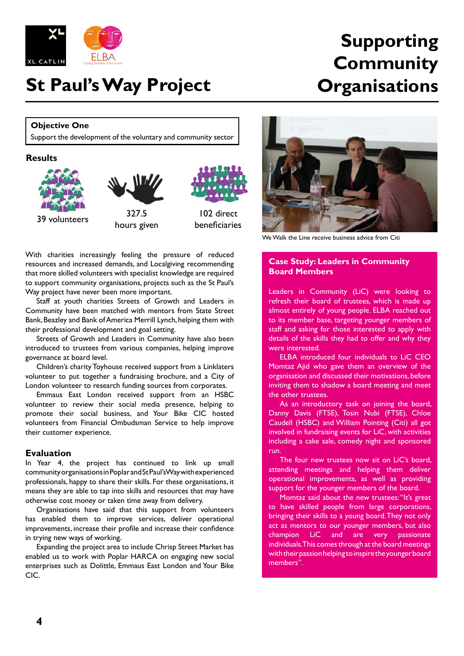

### **St Paul's Way Project**

### **Supporting Community Organisations**

### **Objective One**

Support the development of the voluntary and community sector

#### **Results**



With charities increasingly feeling the pressure of reduced resources and increased demands, and Localgiving recommending that more skilled volunteers with specialist knowledge are required to support community organisations, projects such as the St Paul's Way project have never been more important.

Staff at youth charities Streets of Growth and Leaders in Community have been matched with mentors from State Street Bank, Beazley and Bank of America Merrill Lynch, helping them with their professional development and goal setting.

Streets of Growth and Leaders in Community have also been introduced to trustees from various companies, helping improve governance at board level.

Children's charity Toyhouse received support from a Linklaters volunteer to put together a fundraising brochure, and a City of London volunteer to research funding sources from corporates.

Emmaus East London received support from an HSBC volunteer to review their social media presence, helping to promote their social business, and Your Bike CIC hosted volunteers from Financial Ombudsman Service to help improve their customer experience.

#### **Evaluation**

In Year 4, the project has continued to link up small community organisations in Poplar and St Paul's Way with experienced professionals, happy to share their skills. For these organisations, it means they are able to tap into skills and resources that may have otherwise cost money or taken time away from delivery.

Organisations have said that this support from volunteers has enabled them to improve services, deliver operational improvements, increase their profile and increase their confidence in trying new ways of working.

Expanding the project area to include Chrisp Street Market has enabled us to work with Poplar HARCA on engaging new social enterprises such as Dolittle, Emmaus East London and Your Bike CIC.



We Walk the Line receive business advice from Citi

#### **Case Study: Leaders in Community Board Members**

Leaders in Community (LiC) were looking to refresh their board of trustees, which is made up almost entirely of young people. ELBA reached out to its member base, targeting younger members of staff and asking for those interested to apply with details of the skills they had to offer and why they were interested.

ELBA introduced four individuals to LiC CEO Momtaz Ajid who gave them an overview of the organisation and discussed their motivations, before inviting them to shadow a board meeting and meet the other trustees.

As an introductory task on joining the board, Danny Davis (FTSE), Tosin Nubi (FTSE), Chloe Caudell (HSBC) and William Pointing (Citi) all got involved in fundraising events for LiC, with activities including a cake sale, comedy night and sponsored run.

The four new trustees now sit on LiC's board, attending meetings and helping them deliver operational improvements, as well as providing support for the younger members of the board.

Momtaz said about the new trustees: "It's great to have skilled people from large corporations, bringing their skills to a young board. They not only act as mentors to our younger members, but also champion LiC and are very passionate individuals. This comes through at the board meetings with their passion helping to inspire the younger board members".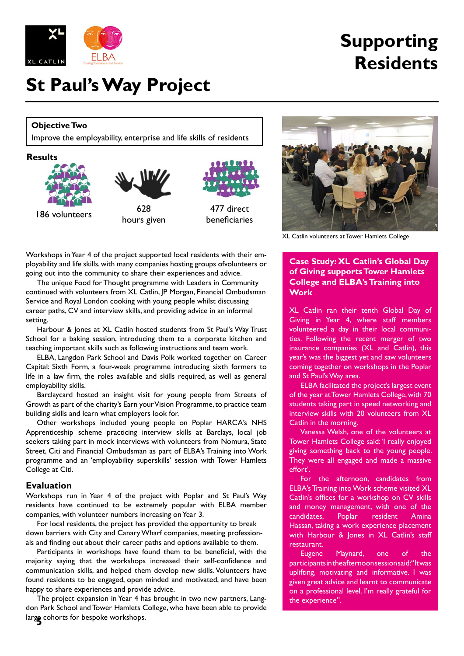

# **Supporting Residents**

### **St Paul's Way Project**

### **Objective Two**

Improve the employability, enterprise and life skills of residents





beneficiaries

Workshops in Year 4 of the project supported local residents with their employability and life skills, with many companies hosting groups ofvolunteers or going out into the community to share their experiences and advice.

The unique Food for Thought programme with Leaders in Community continued with volunteers from XL Catlin, JP Morgan, Financial Ombudsman Service and Royal London cooking with young people whilst discussing career paths, CV and interview skills, and providing advice in an informal setting.

Harbour & Jones at XL Catlin hosted students from St Paul's Way Trust School for a baking session, introducing them to a corporate kitchen and teaching important skills such as following instructions and team work.

ELBA, Langdon Park School and Davis Polk worked together on Career Capital: Sixth Form, a four-week programme introducing sixth formers to life in a law firm, the roles available and skills required, as well as general employability skills.

Barclaycard hosted an insight visit for young people from Streets of Growth as part of the charity's Earn your Vision Programme, to practice team building skills and learn what employers look for.

Other workshops included young people on Poplar HARCA's NHS Apprenticeship scheme practicing interview skills at Barclays, local job seekers taking part in mock interviews with volunteers from Nomura, State Street, Citi and Financial Ombudsman as part of ELBA's Training into Work programme and an 'employability superskills' session with Tower Hamlets College at Citi.

#### **Evaluation**

Workshops run in Year 4 of the project with Poplar and St Paul's Way residents have continued to be extremely popular with ELBA member companies, with volunteer numbers increasing on Year 3.

For local residents, the project has provided the opportunity to break down barriers with City and Canary Wharf companies, meeting professionals and finding out about their career paths and options available to them.

Participants in workshops have found them to be beneficial, with the majority saying that the workshops increased their self-confidence and communication skills, and helped them develop new skills. Volunteers have found residents to be engaged, open minded and motivated, and have been happy to share experiences and provide advice.

**5** large cohorts for bespoke workshops. The project expansion in Year 4 has brought in two new partners, Langdon Park School and Tower Hamlets College, who have been able to provide



XL Catlin volunteers at Tower Hamlets College

**Case Study: XL Catlin's Global Day of Giving supports Tower Hamlets College and ELBA's Training into Work**

XL Catlin ran their tenth Global Day of Giving in Year 4, where staff members volunteered a day in their local communities. Following the recent merger of two insurance companies (XL and Catlin), this year's was the biggest yet and saw volunteers coming together on workshops in the Poplar and St Paul's Way area.

ELBA facilitated the project's largest event of the year at Tower Hamlets College, with 70 students taking part in speed networking and interview skills with 20 volunteers from XL Catlin in the morning.

Vanessa Welsh, one of the volunteers at Tower Hamlets College said: 'I really enjoyed giving something back to the young people. They were all engaged and made a massive effort'.

For the afternoon, candidates from ELBA's Training into Work scheme visited XL Catlin's offices for a workshop on CV skills and money management, with one of the candidates, Poplar resident Amina Hassan, taking a work experience placement with Harbour & Jones in XL Catlin's staff restaurant.

Eugene Maynard, one of the participants in the afternoon session said: "It was uplifting, motivating and informative. I was given great advice and learnt to communicate on a professional level. I'm really grateful for the experience".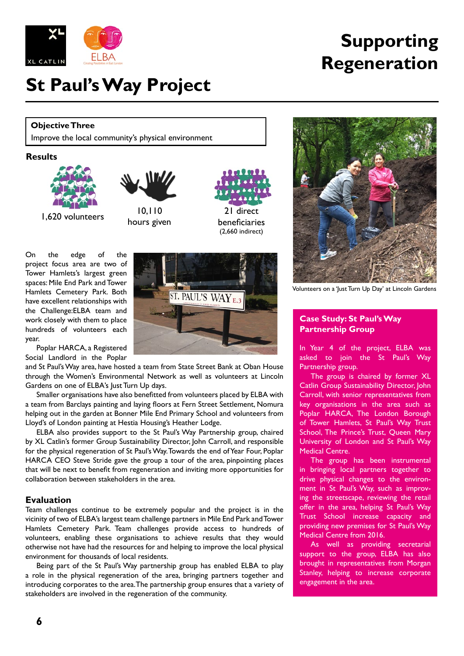

### **St Paul's Way Project**

#### **Objective Three**

Improve the local community's physical environment

#### **Results**





1,620 volunteers 10,110 hours given

21 direct beneficiaries (2,660 indirect)

On the edge of the project focus area are two of Tower Hamlets's largest green spaces: Mile End Park and Tower Hamlets Cemetery Park. Both have excellent relationships with the Challenge:ELBA team and work closely with them to place hundreds of volunteers each year.

Poplar HARCA, a Registered Social Landlord in the Poplar

and St Paul's Way area, have hosted a team from State Street Bank at Oban House through the Women's Environmental Network as well as volunteers at Lincoln Gardens on one of ELBA's Just Turn Up days.

Smaller organisations have also benefitted from volunteers placed by ELBA with a team from Barclays painting and laying floors at Fern Street Settlement, Nomura helping out in the garden at Bonner Mile End Primary School and volunteers from Lloyd's of London painting at Hestia Housing's Heather Lodge.

ELBA also provides support to the St Paul's Way Partnership group, chaired by XL Catlin's former Group Sustainability Director, John Carroll, and responsible for the physical regeneration of St Paul's Way. Towards the end of Year Four, Poplar HARCA CEO Steve Stride gave the group a tour of the area, pinpointing places that will be next to benefit from regeneration and inviting more opportunities for collaboration between stakeholders in the area.

#### **Evaluation**

Team challenges continue to be extremely popular and the project is in the vicinity of two of ELBA's largest team challenge partners in Mile End Park and Tower Hamlets Cemetery Park. Team challenges provide access to hundreds of volunteers, enabling these organisations to achieve results that they would otherwise not have had the resources for and helping to improve the local physical environment for thousands of local residents.

Being part of the St Paul's Way partnership group has enabled ELBA to play a role in the physical regeneration of the area, bringing partners together and introducing corporates to the area. The partnership group ensures that a variety of stakeholders are involved in the regeneration of the community.

**Supporting**

**Regeneration**



#### **Case Study: St Paul's Way Partnership Group**

In Year 4 of the project, ELBA was asked to join the St Paul's Way Partnership group.

The group is chaired by former XL Catlin Group Sustainability Director, John Carroll, with senior representatives from key organisations in the area such as Poplar HARCA, The London Borough of Tower Hamlets, St Paul's Way Trust School, The Prince's Trust, Queen Mary University of London and St Paul's Way Medical Centre.

The group has been instrumental in bringing local partners together to drive physical changes to the environment in St Paul's Way, such as improving the streetscape, reviewing the retail offer in the area, helping St Paul's Way Trust School increase capacity and providing new premises for St Paul's Way Medical Centre from 2016.

As well as providing secretarial support to the group, ELBA has also brought in representatives from Morgan Stanley, helping to increase corporate engagement in the area.

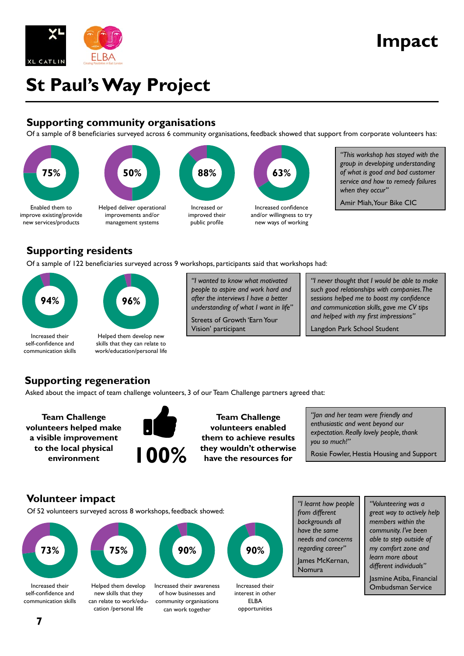

### **Impact**

# **St Paul's Way Project**

### **Supporting community organisations**

Of a sample of 8 beneficiaries surveyed across 6 community organisations, feedback showed that support from corporate volunteers has:



*"This workshop has stayed with the group in developing understanding of what is good and bad customer service and how to remedy failures when they occur"*

Amir Miah, Your Bike CIC

### **Supporting residents**

Of a sample of 122 beneficiaries surveyed across 9 workshops, participants said that workshops had:



*"I wanted to know what motivated people to aspire and work hard and after the interviews I have a better understanding of what I want in life"*

Streets of Growth 'Earn Your Vision' participant

*"I never thought that I would be able to make such good relationships with companies. The sessions helped me to boost my confidence and communication skills, gave me CV tips and helped with my first impressions"*

Langdon Park School Student

### **Supporting regeneration**

Asked about the impact of team challenge volunteers, 3 of our Team Challenge partners agreed that:

**Team Challenge volunteers helped make a visible improvement to the local physical environment**



**Team Challenge volunteers enabled them to achieve results they wouldn't otherwise have the resources for**

*"Jan and her team were friendly and enthusiastic and went beyond our expectation. Really lovely people, thank you so much!"*

Rosie Fowler, Hestia Housing and Support

### **Volunteer impact**

Of 52 volunteers surveyed across 8 workshops, feedback showed:



Increased their self-confidence and communication skills



Helped them develop new skills that they can relate to work/education /personal life



Increased their awareness of how businesses and community organisations can work together



Increased their interest in other ELBA opportunities

*"I learnt how people from different backgrounds all have the same needs and concerns regarding career"* James McKernan, Nomura

*"Volunteering was a great way to actively help members within the community. I've been able to step outside of my comfort zone and learn more about different individuals"*

Jasmine Atiba, Financial Ombudsman Service